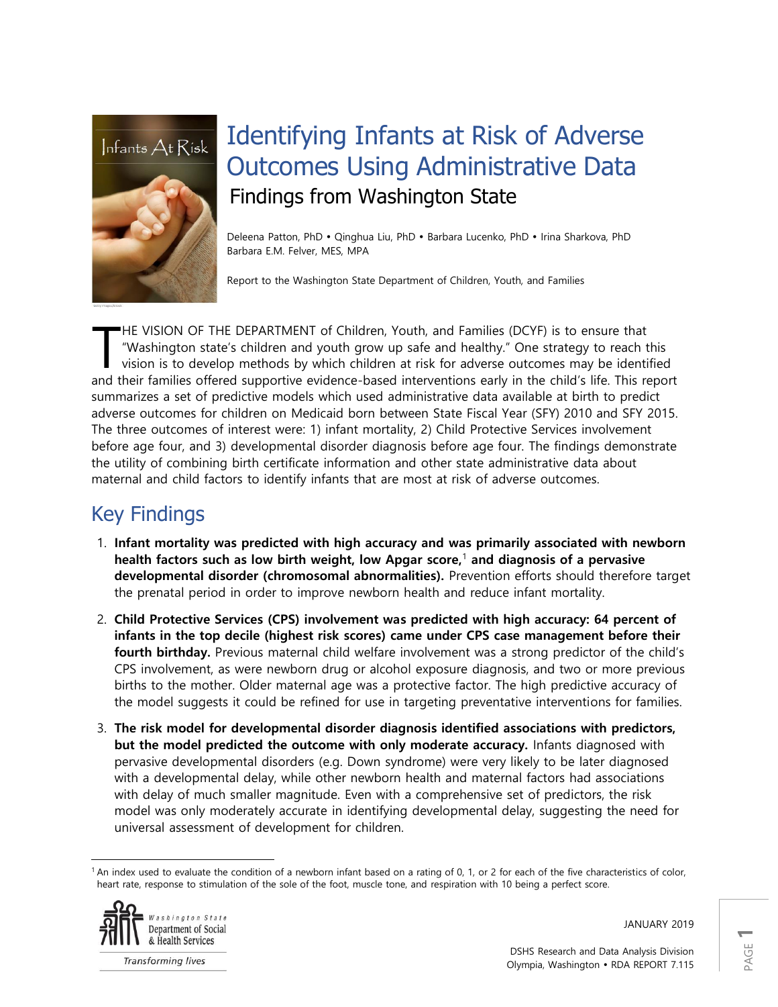

# Identifying Infants at Risk of Adverse Outcomes Using Administrative Data Findings from Washington State

Deleena Patton, PhD · Qinghua Liu, PhD · Barbara Lucenko, PhD · Irina Sharkova, PhD Barbara E.M. Felver, MES, MPA

Report to the Washington State Department of Children, Youth, and Families

HE VISION OF THE DEPARTMENT of Children, Youth, and Families (DCYF) is to ensure that "Washington state's children and youth grow up safe and healthy." One strategy to reach this vision is to develop methods by which children at risk for adverse outcomes may be identified and their families offered supportive evidence-based interventions early in the child's life. This report summarizes a set of predictive models which used administrative data available at birth to predict adverse outcomes for children on Medicaid born between State Fiscal Year (SFY) 2010 and SFY 2015. The three outcomes of interest were: 1) infant mortality, 2) Child Protective Services involvement before age four, and 3) developmental disorder diagnosis before age four. The findings demonstrate the utility of combining birth certificate information and other state administrative data about maternal and child factors to identify infants that are most at risk of adverse outcomes. T

## Key Findings

- 1. **Infant mortality was predicted with high accuracy and was primarily associated with newborn health factors such as low birth weight, low Apgar score,**<sup>1</sup> **and diagnosis of a pervasive developmental disorder (chromosomal abnormalities).** Prevention efforts should therefore target the prenatal period in order to improve newborn health and reduce infant mortality.
- 2. **Child Protective Services (CPS) involvement was predicted with high accuracy: 64 percent of infants in the top decile (highest risk scores) came under CPS case management before their fourth birthday.** Previous maternal child welfare involvement was a strong predictor of the child's CPS involvement, as were newborn drug or alcohol exposure diagnosis, and two or more previous births to the mother. Older maternal age was a protective factor. The high predictive accuracy of the model suggests it could be refined for use in targeting preventative interventions for families.
- 3. **The risk model for developmental disorder diagnosis identified associations with predictors, but the model predicted the outcome with only moderate accuracy.** Infants diagnosed with pervasive developmental disorders (e.g. Down syndrome) were very likely to be later diagnosed with a developmental delay, while other newborn health and maternal factors had associations with delay of much smaller magnitude. Even with a comprehensive set of predictors, the risk model was only moderately accurate in identifying developmental delay, suggesting the need for universal assessment of development for children.

<sup>1</sup> An index used to evaluate the condition of a newborn infant based on a rating of 0, 1, or 2 for each of the five characteristics of color, heart rate, response to stimulation of the sole of the foot, muscle tone, and respiration with 10 being a perfect score.



 $\overline{\phantom{a}}$ 

JANUARY 2019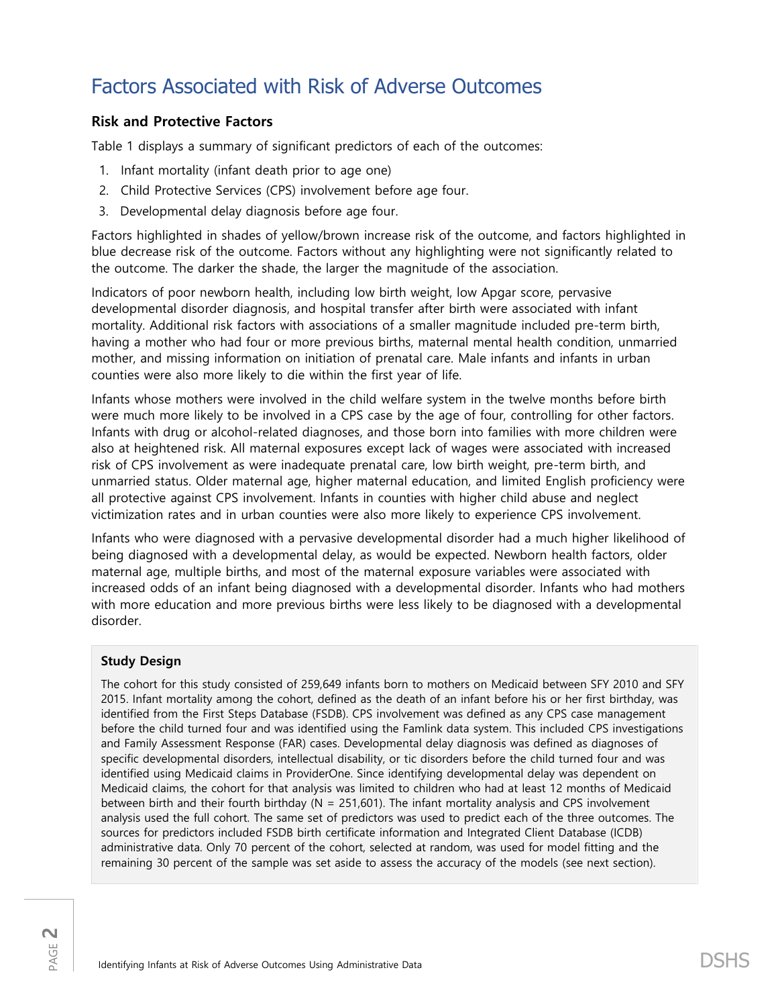## Factors Associated with Risk of Adverse Outcomes

### **Risk and Protective Factors**

Table 1 displays a summary of significant predictors of each of the outcomes:

- 1. Infant mortality (infant death prior to age one)
- 2. Child Protective Services (CPS) involvement before age four.
- 3. Developmental delay diagnosis before age four.

Factors highlighted in shades of yellow/brown increase risk of the outcome, and factors highlighted in blue decrease risk of the outcome. Factors without any highlighting were not significantly related to the outcome. The darker the shade, the larger the magnitude of the association.

Indicators of poor newborn health, including low birth weight, low Apgar score, pervasive developmental disorder diagnosis, and hospital transfer after birth were associated with infant mortality. Additional risk factors with associations of a smaller magnitude included pre-term birth, having a mother who had four or more previous births, maternal mental health condition, unmarried mother, and missing information on initiation of prenatal care. Male infants and infants in urban counties were also more likely to die within the first year of life.

Infants whose mothers were involved in the child welfare system in the twelve months before birth were much more likely to be involved in a CPS case by the age of four, controlling for other factors. Infants with drug or alcohol-related diagnoses, and those born into families with more children were also at heightened risk. All maternal exposures except lack of wages were associated with increased risk of CPS involvement as were inadequate prenatal care, low birth weight, pre-term birth, and unmarried status. Older maternal age, higher maternal education, and limited English proficiency were all protective against CPS involvement. Infants in counties with higher child abuse and neglect victimization rates and in urban counties were also more likely to experience CPS involvement.

Infants who were diagnosed with a pervasive developmental disorder had a much higher likelihood of being diagnosed with a developmental delay, as would be expected. Newborn health factors, older maternal age, multiple births, and most of the maternal exposure variables were associated with increased odds of an infant being diagnosed with a developmental disorder. Infants who had mothers with more education and more previous births were less likely to be diagnosed with a developmental disorder.

### **Study Design**

The cohort for this study consisted of 259,649 infants born to mothers on Medicaid between SFY 2010 and SFY 2015. Infant mortality among the cohort, defined as the death of an infant before his or her first birthday, was identified from the First Steps Database (FSDB). CPS involvement was defined as any CPS case management before the child turned four and was identified using the Famlink data system. This included CPS investigations and Family Assessment Response (FAR) cases. Developmental delay diagnosis was defined as diagnoses of specific developmental disorders, intellectual disability, or tic disorders before the child turned four and was identified using Medicaid claims in ProviderOne. Since identifying developmental delay was dependent on Medicaid claims, the cohort for that analysis was limited to children who had at least 12 months of Medicaid between birth and their fourth birthday ( $N = 251,601$ ). The infant mortality analysis and CPS involvement analysis used the full cohort. The same set of predictors was used to predict each of the three outcomes. The sources for predictors included FSDB birth certificate information and Integrated Client Database (ICDB) administrative data. Only 70 percent of the cohort, selected at random, was used for model fitting and the remaining 30 percent of the sample was set aside to assess the accuracy of the models (see next section).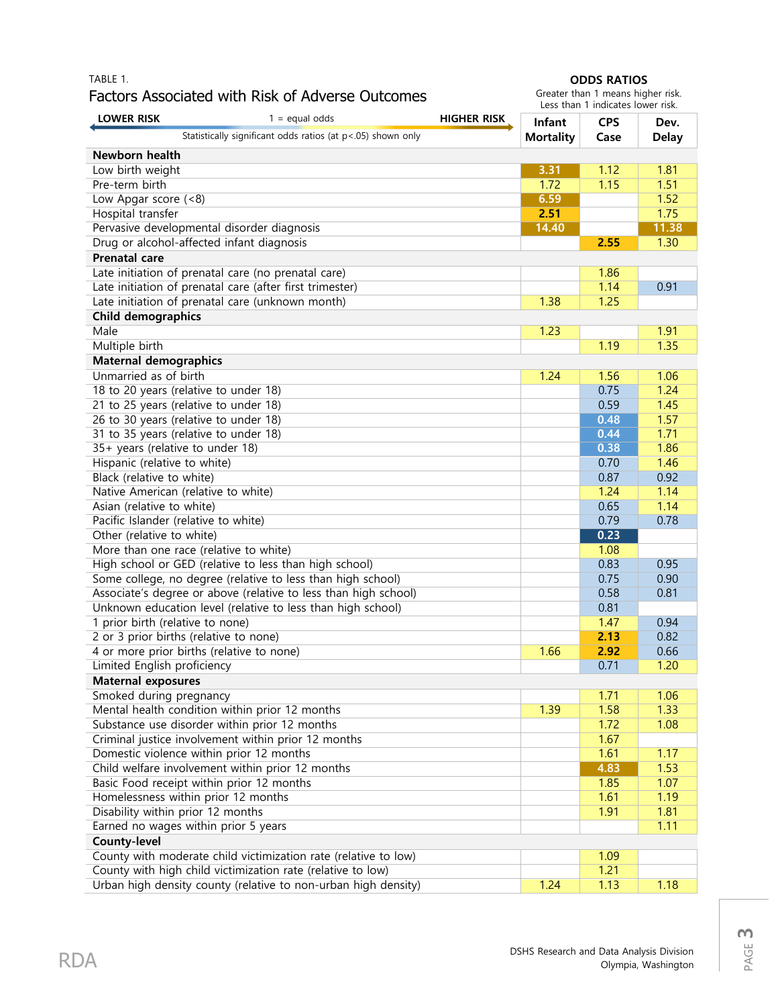### TABLE 1. Factors Associated with Risk of Adverse Outcomes

#### **ODDS RATIOS**

Greater than 1 means higher risk. Less than 1 indicates lower risk.

| <b>LOWER RISK</b>                                                                | $1 =$ equal odds                                                | <b>HIGHER RISK</b> | Infant           | <b>CPS</b>   | Dev.         |  |  |  |
|----------------------------------------------------------------------------------|-----------------------------------------------------------------|--------------------|------------------|--------------|--------------|--|--|--|
|                                                                                  | Statistically significant odds ratios (at p<.05) shown only     |                    | <b>Mortality</b> | Case         | <b>Delay</b> |  |  |  |
| Newborn health                                                                   |                                                                 |                    |                  |              |              |  |  |  |
| Low birth weight                                                                 |                                                                 |                    | 3.31             | 1.12         | 1.81         |  |  |  |
| Pre-term birth                                                                   |                                                                 |                    | 1.72             | 1.15         | 1.51         |  |  |  |
| Low Apgar score (<8)                                                             |                                                                 | 6.59               |                  | 1.52         |              |  |  |  |
| Hospital transfer                                                                |                                                                 |                    | 2.51             |              | 1.75         |  |  |  |
|                                                                                  | Pervasive developmental disorder diagnosis                      |                    | 14.40            |              | 11.38        |  |  |  |
|                                                                                  | Drug or alcohol-affected infant diagnosis                       |                    |                  | 2.55         | 1.30         |  |  |  |
| <b>Prenatal care</b>                                                             |                                                                 |                    |                  |              |              |  |  |  |
| Late initiation of prenatal care (no prenatal care)                              |                                                                 |                    | 1.86             |              |              |  |  |  |
|                                                                                  | Late initiation of prenatal care (after first trimester)        |                    |                  | 1.14         | 0.91         |  |  |  |
|                                                                                  | Late initiation of prenatal care (unknown month)                |                    | 1.38             | 1.25         |              |  |  |  |
| <b>Child demographics</b>                                                        |                                                                 |                    |                  |              |              |  |  |  |
| Male                                                                             |                                                                 |                    | 1.23             |              | 1.91         |  |  |  |
| Multiple birth                                                                   |                                                                 |                    |                  | 1.19         | 1.35         |  |  |  |
| <b>Maternal demographics</b>                                                     |                                                                 |                    |                  |              |              |  |  |  |
| Unmarried as of birth                                                            |                                                                 |                    | 1.24             | 1.56         | 1.06         |  |  |  |
|                                                                                  | 18 to 20 years (relative to under 18)                           |                    |                  | 0.75         | 1.24         |  |  |  |
|                                                                                  | 21 to 25 years (relative to under 18)                           |                    |                  | 0.59         | 1.45         |  |  |  |
|                                                                                  | 26 to 30 years (relative to under 18)                           |                    |                  | 0.48         | 1.57         |  |  |  |
|                                                                                  | 31 to 35 years (relative to under 18)                           |                    |                  | 0.44         | 1.71         |  |  |  |
|                                                                                  | 35+ years (relative to under 18)                                |                    |                  | 0.38<br>0.70 | 1.86<br>1.46 |  |  |  |
| Hispanic (relative to white)<br>Black (relative to white)                        |                                                                 |                    |                  | 0.87         | 0.92         |  |  |  |
|                                                                                  | Native American (relative to white)                             |                    |                  | 1.24         | 1.14         |  |  |  |
| Asian (relative to white)                                                        |                                                                 |                    |                  | 0.65         | 1.14         |  |  |  |
|                                                                                  | Pacific Islander (relative to white)                            |                    |                  | 0.79         | 0.78         |  |  |  |
| Other (relative to white)                                                        |                                                                 |                    |                  | 0.23         |              |  |  |  |
|                                                                                  | More than one race (relative to white)                          |                    |                  | 1.08         |              |  |  |  |
|                                                                                  | High school or GED (relative to less than high school)          |                    |                  | 0.83         | 0.95         |  |  |  |
|                                                                                  | Some college, no degree (relative to less than high school)     |                    |                  | 0.75         | 0.90         |  |  |  |
|                                                                                  | Associate's degree or above (relative to less than high school) |                    |                  | 0.58         | 0.81         |  |  |  |
|                                                                                  | Unknown education level (relative to less than high school)     |                    |                  | 0.81         |              |  |  |  |
| 1 prior birth (relative to none)                                                 |                                                                 |                    |                  | 1.47         | 0.94         |  |  |  |
|                                                                                  | 2 or 3 prior births (relative to none)                          |                    |                  | 2.13         | 0.82         |  |  |  |
|                                                                                  | 4 or more prior births (relative to none)                       |                    | 1.66             | 2.92         | 0.66         |  |  |  |
| Limited English proficiency                                                      |                                                                 |                    |                  | 0.71         | 1.20         |  |  |  |
| <b>Maternal exposures</b>                                                        |                                                                 |                    |                  |              |              |  |  |  |
| Smoked during pregnancy                                                          |                                                                 |                    |                  | 1.71         | 1.06         |  |  |  |
|                                                                                  | Mental health condition within prior 12 months                  |                    | 1.39             | 1.58         | 1.33         |  |  |  |
| Substance use disorder within prior 12 months                                    |                                                                 |                    | 1.72             | 1.08         |              |  |  |  |
| Criminal justice involvement within prior 12 months                              |                                                                 |                    | 1.67             |              |              |  |  |  |
| Domestic violence within prior 12 months                                         |                                                                 |                    | 1.61             | 1.17         |              |  |  |  |
| Child welfare involvement within prior 12 months                                 |                                                                 |                    | 4.83             | 1.53         |              |  |  |  |
| Basic Food receipt within prior 12 months<br>Homelessness within prior 12 months |                                                                 |                    | 1.85             | 1.07         |              |  |  |  |
| Disability within prior 12 months                                                |                                                                 |                    | 1.61<br>1.91     | 1.19<br>1.81 |              |  |  |  |
| Earned no wages within prior 5 years                                             |                                                                 |                    |                  |              | 1.11         |  |  |  |
| County-level                                                                     |                                                                 |                    |                  |              |              |  |  |  |
| County with moderate child victimization rate (relative to low)<br>1.09          |                                                                 |                    |                  |              |              |  |  |  |
|                                                                                  | County with high child victimization rate (relative to low)     |                    |                  | 1.21         |              |  |  |  |
|                                                                                  | Urban high density county (relative to non-urban high density)  |                    | 1.24             | 1.13         | 1.18         |  |  |  |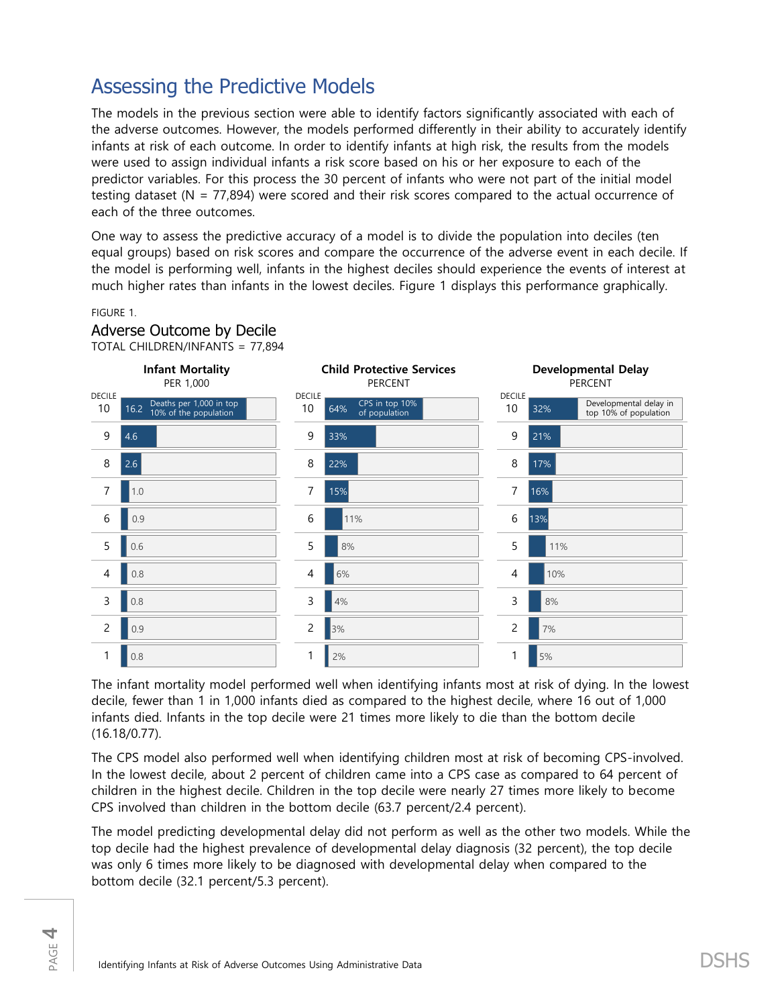## Assessing the Predictive Models

The models in the previous section were able to identify factors significantly associated with each of the adverse outcomes. However, the models performed differently in their ability to accurately identify infants at risk of each outcome. In order to identify infants at high risk, the results from the models were used to assign individual infants a risk score based on his or her exposure to each of the predictor variables. For this process the 30 percent of infants who were not part of the initial model testing dataset (N = 77,894) were scored and their risk scores compared to the actual occurrence of each of the three outcomes.

One way to assess the predictive accuracy of a model is to divide the population into deciles (ten equal groups) based on risk scores and compare the occurrence of the adverse event in each decile. If the model is performing well, infants in the highest deciles should experience the events of interest at much higher rates than infants in the lowest deciles. Figure 1 displays this performance graphically.

#### FIGURE 1.

Adverse Outcome by Decile



The infant mortality model performed well when identifying infants most at risk of dying. In the lowest decile, fewer than 1 in 1,000 infants died as compared to the highest decile, where 16 out of 1,000 infants died. Infants in the top decile were 21 times more likely to die than the bottom decile (16.18/0.77).

The CPS model also performed well when identifying children most at risk of becoming CPS-involved. In the lowest decile, about 2 percent of children came into a CPS case as compared to 64 percent of children in the highest decile. Children in the top decile were nearly 27 times more likely to become CPS involved than children in the bottom decile (63.7 percent/2.4 percent).

The model predicting developmental delay did not perform as well as the other two models. While the top decile had the highest prevalence of developmental delay diagnosis (32 percent), the top decile was only 6 times more likely to be diagnosed with developmental delay when compared to the bottom decile (32.1 percent/5.3 percent).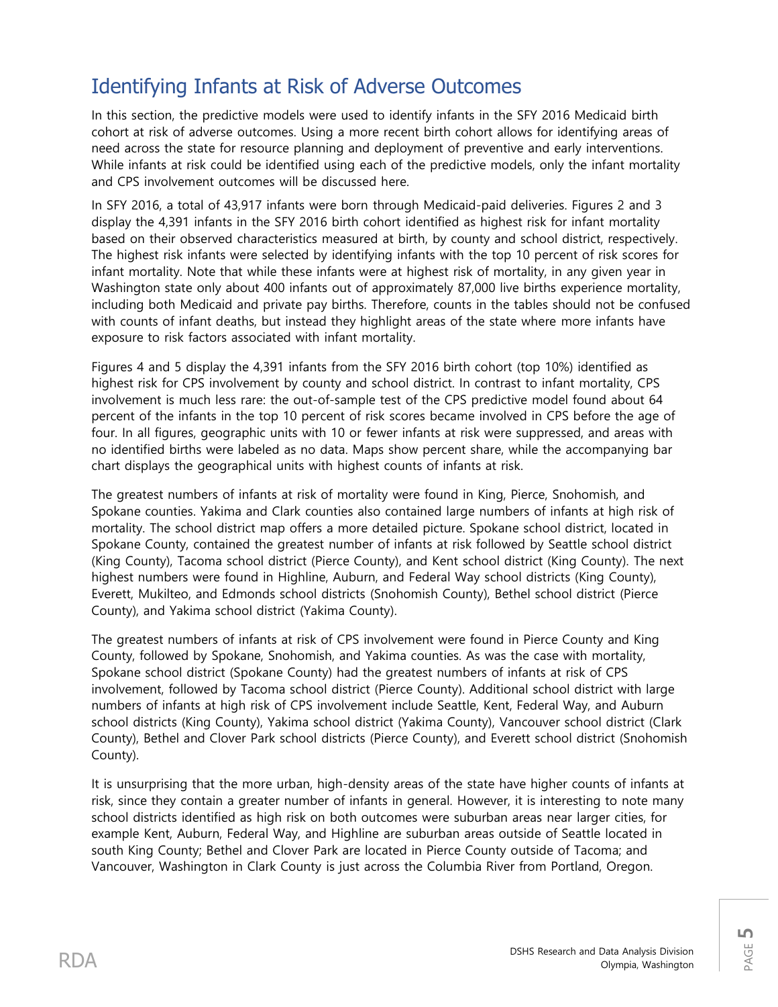## Identifying Infants at Risk of Adverse Outcomes

In this section, the predictive models were used to identify infants in the SFY 2016 Medicaid birth cohort at risk of adverse outcomes. Using a more recent birth cohort allows for identifying areas of need across the state for resource planning and deployment of preventive and early interventions. While infants at risk could be identified using each of the predictive models, only the infant mortality and CPS involvement outcomes will be discussed here.

In SFY 2016, a total of 43,917 infants were born through Medicaid-paid deliveries. Figures 2 and 3 display the 4,391 infants in the SFY 2016 birth cohort identified as highest risk for infant mortality based on their observed characteristics measured at birth, by county and school district, respectively. The highest risk infants were selected by identifying infants with the top 10 percent of risk scores for infant mortality. Note that while these infants were at highest risk of mortality, in any given year in Washington state only about 400 infants out of approximately 87,000 live births experience mortality, including both Medicaid and private pay births. Therefore, counts in the tables should not be confused with counts of infant deaths, but instead they highlight areas of the state where more infants have exposure to risk factors associated with infant mortality.

Figures 4 and 5 display the 4,391 infants from the SFY 2016 birth cohort (top 10%) identified as highest risk for CPS involvement by county and school district. In contrast to infant mortality, CPS involvement is much less rare: the out-of-sample test of the CPS predictive model found about 64 percent of the infants in the top 10 percent of risk scores became involved in CPS before the age of four. In all figures, geographic units with 10 or fewer infants at risk were suppressed, and areas with no identified births were labeled as no data. Maps show percent share, while the accompanying bar chart displays the geographical units with highest counts of infants at risk.

The greatest numbers of infants at risk of mortality were found in King, Pierce, Snohomish, and Spokane counties. Yakima and Clark counties also contained large numbers of infants at high risk of mortality. The school district map offers a more detailed picture. Spokane school district, located in Spokane County, contained the greatest number of infants at risk followed by Seattle school district (King County), Tacoma school district (Pierce County), and Kent school district (King County). The next highest numbers were found in Highline, Auburn, and Federal Way school districts (King County), Everett, Mukilteo, and Edmonds school districts (Snohomish County), Bethel school district (Pierce County), and Yakima school district (Yakima County).

The greatest numbers of infants at risk of CPS involvement were found in Pierce County and King County, followed by Spokane, Snohomish, and Yakima counties. As was the case with mortality, Spokane school district (Spokane County) had the greatest numbers of infants at risk of CPS involvement, followed by Tacoma school district (Pierce County). Additional school district with large numbers of infants at high risk of CPS involvement include Seattle, Kent, Federal Way, and Auburn school districts (King County), Yakima school district (Yakima County), Vancouver school district (Clark County), Bethel and Clover Park school districts (Pierce County), and Everett school district (Snohomish County).

It is unsurprising that the more urban, high-density areas of the state have higher counts of infants at risk, since they contain a greater number of infants in general. However, it is interesting to note many school districts identified as high risk on both outcomes were suburban areas near larger cities, for example Kent, Auburn, Federal Way, and Highline are suburban areas outside of Seattle located in south King County; Bethel and Clover Park are located in Pierce County outside of Tacoma; and Vancouver, Washington in Clark County is just across the Columbia River from Portland, Oregon.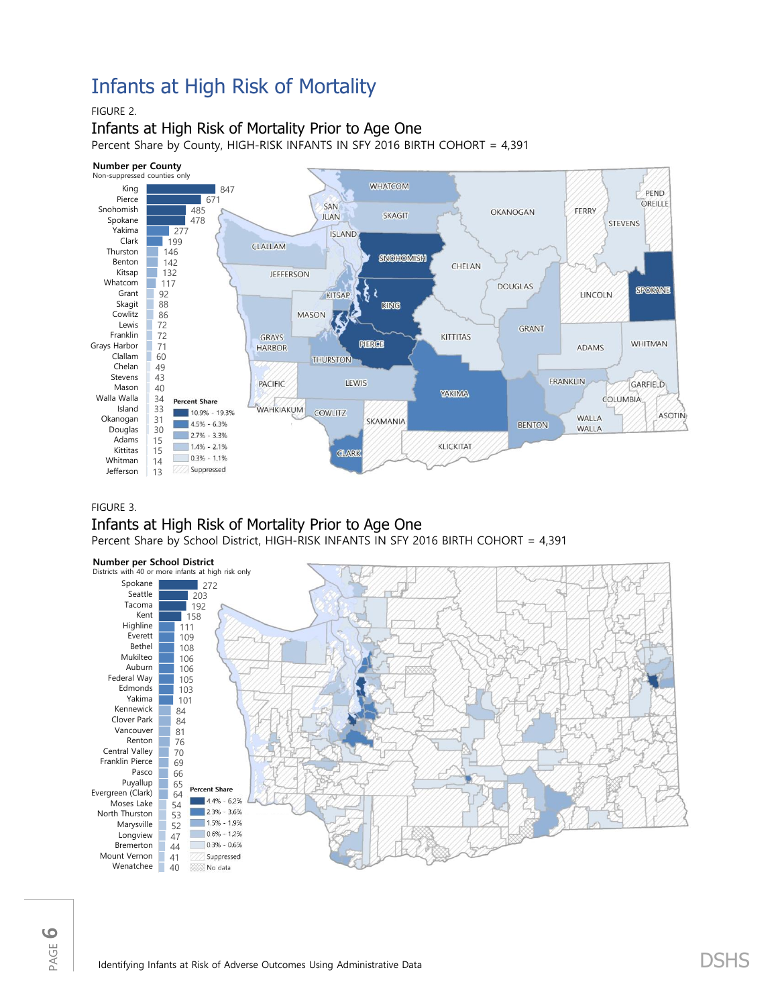## Infants at High Risk of Mortality

### FIGURE 2.

### Infants at High Risk of Mortality Prior to Age One

Percent Share by County, HIGH-RISK INFANTS IN SFY 2016 BIRTH COHORT = 4,391



#### FIGURE 3.

## Infants at High Risk of Mortality Prior to Age One

Percent Share by School District, HIGH-RISK INFANTS IN SFY 2016 BIRTH COHORT = 4,391

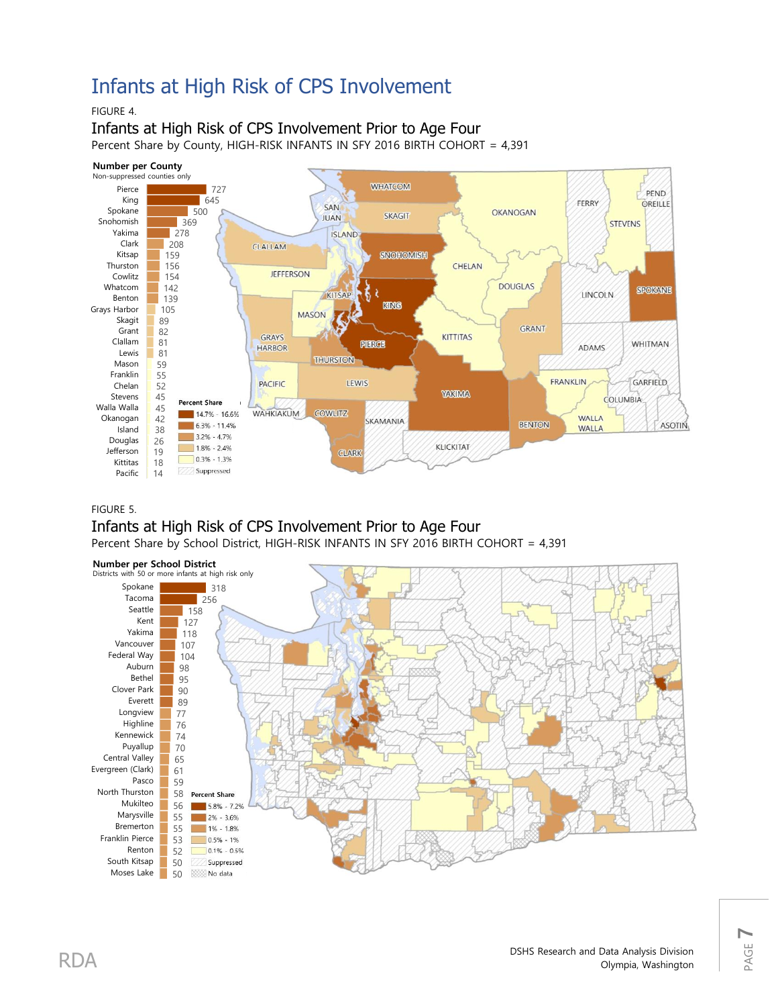## Infants at High Risk of CPS Involvement

### FIGURE 4.

Infants at High Risk of CPS Involvement Prior to Age Four Percent Share by County, HIGH-RISK INFANTS IN SFY 2016 BIRTH COHORT = 4,391



#### FIGURE 5.

### Infants at High Risk of CPS Involvement Prior to Age Four Percent Share by School District, HIGH-RISK INFANTS IN SFY 2016 BIRTH COHORT = 4,391



PAGE **7**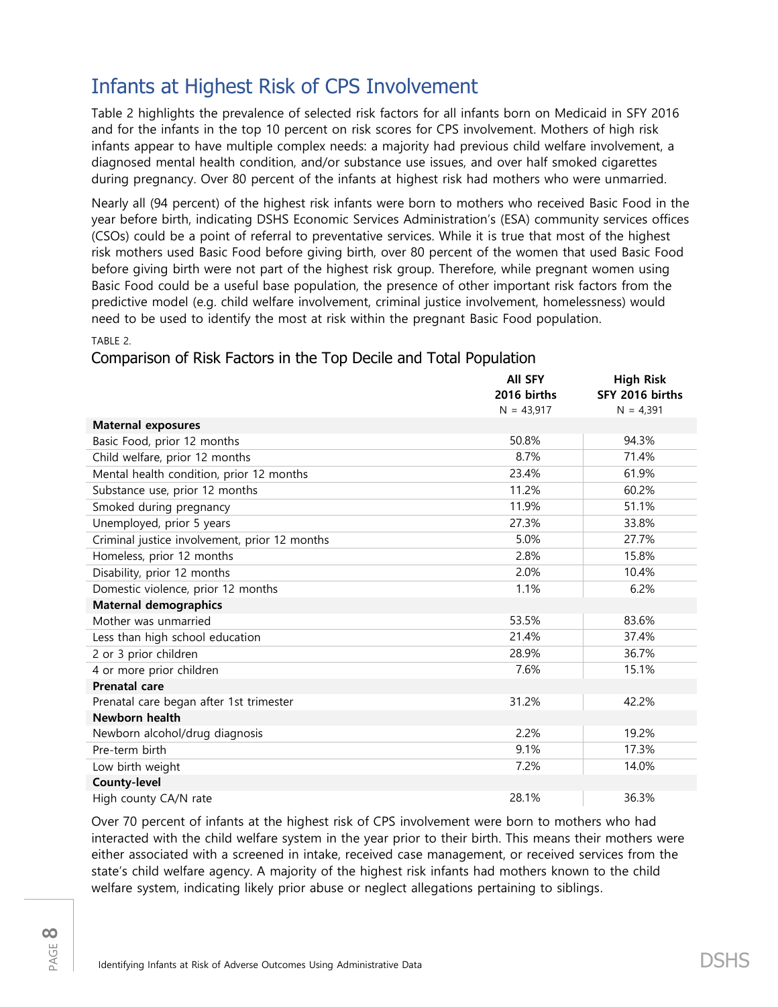## Infants at Highest Risk of CPS Involvement

Table 2 highlights the prevalence of selected risk factors for all infants born on Medicaid in SFY 2016 and for the infants in the top 10 percent on risk scores for CPS involvement. Mothers of high risk infants appear to have multiple complex needs: a majority had previous child welfare involvement, a diagnosed mental health condition, and/or substance use issues, and over half smoked cigarettes during pregnancy. Over 80 percent of the infants at highest risk had mothers who were unmarried.

Nearly all (94 percent) of the highest risk infants were born to mothers who received Basic Food in the year before birth, indicating DSHS Economic Services Administration's (ESA) community services offices (CSOs) could be a point of referral to preventative services. While it is true that most of the highest risk mothers used Basic Food before giving birth, over 80 percent of the women that used Basic Food before giving birth were not part of the highest risk group. Therefore, while pregnant women using Basic Food could be a useful base population, the presence of other important risk factors from the predictive model (e.g. child welfare involvement, criminal justice involvement, homelessness) would need to be used to identify the most at risk within the pregnant Basic Food population.

TABLE 2.

### Comparison of Risk Factors in the Top Decile and Total Population

|                                               | <b>AII SFY</b><br>2016 births<br>$N = 43,917$ | <b>High Risk</b><br>SFY 2016 births<br>$N = 4,391$ |
|-----------------------------------------------|-----------------------------------------------|----------------------------------------------------|
| <b>Maternal exposures</b>                     |                                               |                                                    |
| Basic Food, prior 12 months                   | 50.8%                                         | 94.3%                                              |
| Child welfare, prior 12 months                | 8.7%                                          | 71.4%                                              |
| Mental health condition, prior 12 months      | 23.4%                                         | 61.9%                                              |
| Substance use, prior 12 months                | 11.2%                                         | 60.2%                                              |
| Smoked during pregnancy                       | 11.9%                                         | 51.1%                                              |
| Unemployed, prior 5 years                     | 27.3%                                         | 33.8%                                              |
| Criminal justice involvement, prior 12 months | 5.0%                                          | 27.7%                                              |
| Homeless, prior 12 months                     | 2.8%                                          | 15.8%                                              |
| Disability, prior 12 months                   | 2.0%                                          | 10.4%                                              |
| Domestic violence, prior 12 months            | 1.1%                                          | 6.2%                                               |
| <b>Maternal demographics</b>                  |                                               |                                                    |
| Mother was unmarried                          | 53.5%                                         | 83.6%                                              |
| Less than high school education               | 21.4%                                         | 37.4%                                              |
| 2 or 3 prior children                         | 28.9%                                         | 36.7%                                              |
| 4 or more prior children                      | 7.6%                                          | 15.1%                                              |
| <b>Prenatal care</b>                          |                                               |                                                    |
| Prenatal care began after 1st trimester       | 31.2%                                         | 42.2%                                              |
| Newborn health                                |                                               |                                                    |
| Newborn alcohol/drug diagnosis                | 2.2%                                          | 19.2%                                              |
| Pre-term birth                                | 9.1%                                          | 17.3%                                              |
| Low birth weight                              | 7.2%                                          | 14.0%                                              |
| <b>County-level</b>                           |                                               |                                                    |
| High county CA/N rate                         | 28.1%                                         | 36.3%                                              |

Over 70 percent of infants at the highest risk of CPS involvement were born to mothers who had interacted with the child welfare system in the year prior to their birth. This means their mothers were either associated with a screened in intake, received case management, or received services from the state's child welfare agency. A majority of the highest risk infants had mothers known to the child welfare system, indicating likely prior abuse or neglect allegations pertaining to siblings.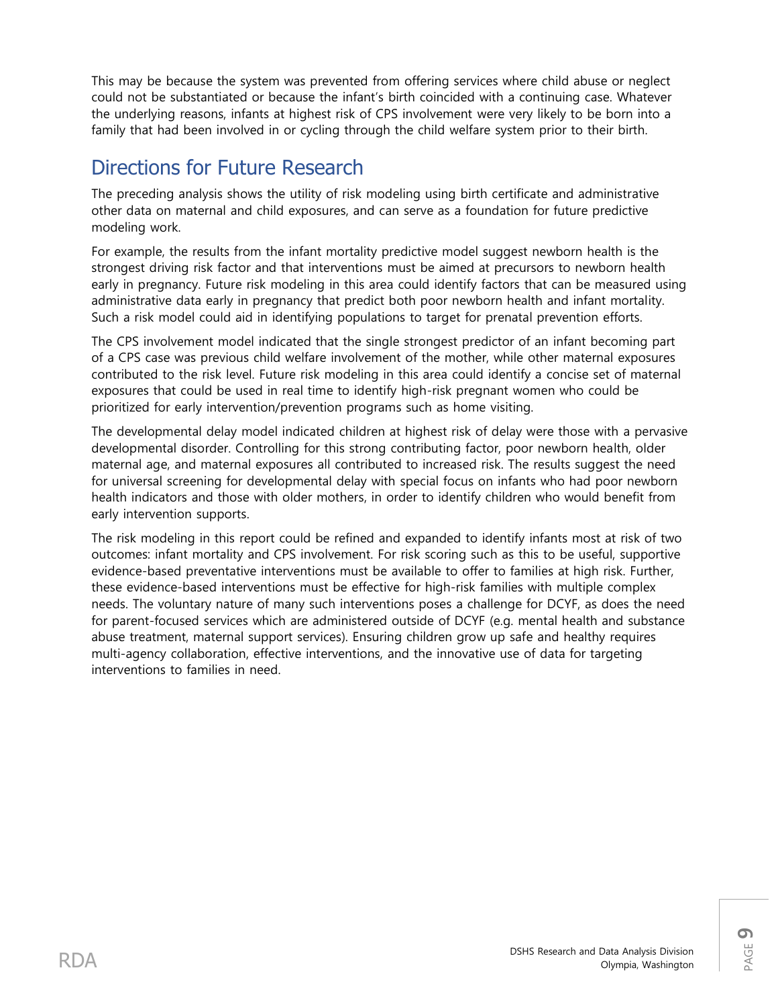This may be because the system was prevented from offering services where child abuse or neglect could not be substantiated or because the infant's birth coincided with a continuing case. Whatever the underlying reasons, infants at highest risk of CPS involvement were very likely to be born into a family that had been involved in or cycling through the child welfare system prior to their birth.

## Directions for Future Research

The preceding analysis shows the utility of risk modeling using birth certificate and administrative other data on maternal and child exposures, and can serve as a foundation for future predictive modeling work.

For example, the results from the infant mortality predictive model suggest newborn health is the strongest driving risk factor and that interventions must be aimed at precursors to newborn health early in pregnancy. Future risk modeling in this area could identify factors that can be measured using administrative data early in pregnancy that predict both poor newborn health and infant mortality. Such a risk model could aid in identifying populations to target for prenatal prevention efforts.

The CPS involvement model indicated that the single strongest predictor of an infant becoming part of a CPS case was previous child welfare involvement of the mother, while other maternal exposures contributed to the risk level. Future risk modeling in this area could identify a concise set of maternal exposures that could be used in real time to identify high-risk pregnant women who could be prioritized for early intervention/prevention programs such as home visiting.

The developmental delay model indicated children at highest risk of delay were those with a pervasive developmental disorder. Controlling for this strong contributing factor, poor newborn health, older maternal age, and maternal exposures all contributed to increased risk. The results suggest the need for universal screening for developmental delay with special focus on infants who had poor newborn health indicators and those with older mothers, in order to identify children who would benefit from early intervention supports.

The risk modeling in this report could be refined and expanded to identify infants most at risk of two outcomes: infant mortality and CPS involvement. For risk scoring such as this to be useful, supportive evidence-based preventative interventions must be available to offer to families at high risk. Further, these evidence-based interventions must be effective for high-risk families with multiple complex needs. The voluntary nature of many such interventions poses a challenge for DCYF, as does the need for parent-focused services which are administered outside of DCYF (e.g. mental health and substance abuse treatment, maternal support services). Ensuring children grow up safe and healthy requires multi-agency collaboration, effective interventions, and the innovative use of data for targeting interventions to families in need.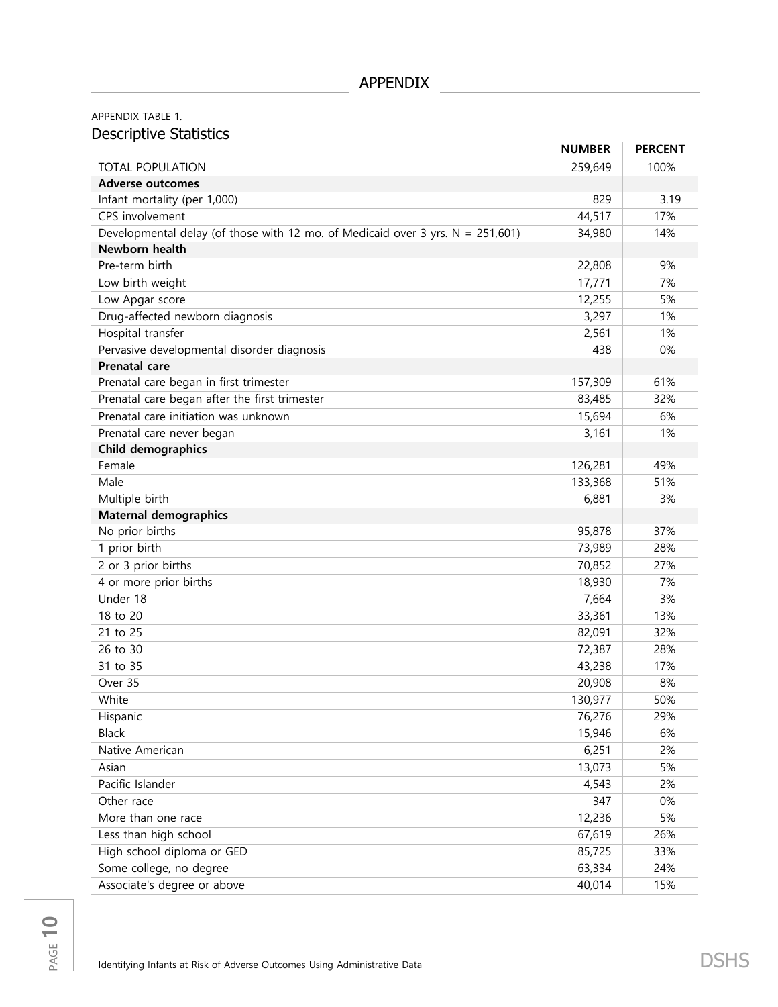## APPENDIX TABLE 1. Descriptive Statistics

|                                                                                   | <b>NUMBER</b> | <b>PERCENT</b> |
|-----------------------------------------------------------------------------------|---------------|----------------|
| <b>TOTAL POPULATION</b>                                                           | 259,649       | 100%           |
| <b>Adverse outcomes</b>                                                           |               |                |
| Infant mortality (per 1,000)                                                      | 829           | 3.19           |
| CPS involvement                                                                   | 44,517        | 17%            |
| Developmental delay (of those with 12 mo. of Medicaid over 3 yrs. $N = 251,601$ ) | 34,980        | 14%            |
| Newborn health                                                                    |               |                |
| Pre-term birth                                                                    | 22,808        | 9%             |
| Low birth weight                                                                  | 17,771        | 7%             |
| Low Apgar score                                                                   | 12,255        | 5%             |
| Drug-affected newborn diagnosis                                                   | 3,297         | 1%             |
| Hospital transfer                                                                 | 2,561         | 1%             |
| Pervasive developmental disorder diagnosis                                        | 438           | 0%             |
| <b>Prenatal care</b>                                                              |               |                |
| Prenatal care began in first trimester                                            | 157,309       | 61%            |
| Prenatal care began after the first trimester                                     | 83,485        | 32%            |
| Prenatal care initiation was unknown                                              | 15,694        | 6%             |
| Prenatal care never began                                                         | 3,161         | 1%             |
| <b>Child demographics</b>                                                         |               |                |
| Female                                                                            | 126,281       | 49%            |
| Male                                                                              | 133,368       | 51%            |
| Multiple birth                                                                    | 6,881         | 3%             |
| <b>Maternal demographics</b>                                                      |               |                |
| No prior births                                                                   | 95,878        | 37%            |
| 1 prior birth                                                                     | 73,989        | 28%            |
| 2 or 3 prior births                                                               | 70,852        | 27%            |
| 4 or more prior births                                                            | 18,930        | 7%             |
| Under 18                                                                          | 7,664         | 3%             |
| 18 to 20                                                                          | 33,361        | 13%            |
| 21 to 25                                                                          | 82,091        | 32%            |
| 26 to 30                                                                          | 72,387        | 28%            |
| 31 to 35                                                                          | 43,238        | 17%            |
| Over 35                                                                           | 20,908        | 8%             |
| White                                                                             | 130,977       | 50%            |
| Hispanic                                                                          | 76,276        | 29%            |
| <b>Black</b>                                                                      | 15,946        | 6%             |
| Native American                                                                   | 6,251         | 2%             |
| Asian                                                                             | 13,073        | 5%             |
| Pacific Islander                                                                  | 4,543         | 2%             |
| Other race                                                                        | 347           | $0\%$          |
| More than one race                                                                | 12,236        | 5%             |
| Less than high school                                                             | 67,619        | 26%            |
| High school diploma or GED                                                        | 85,725        | 33%            |
| Some college, no degree                                                           | 63,334        | 24%            |
| Associate's degree or above                                                       | 40,014        | 15%            |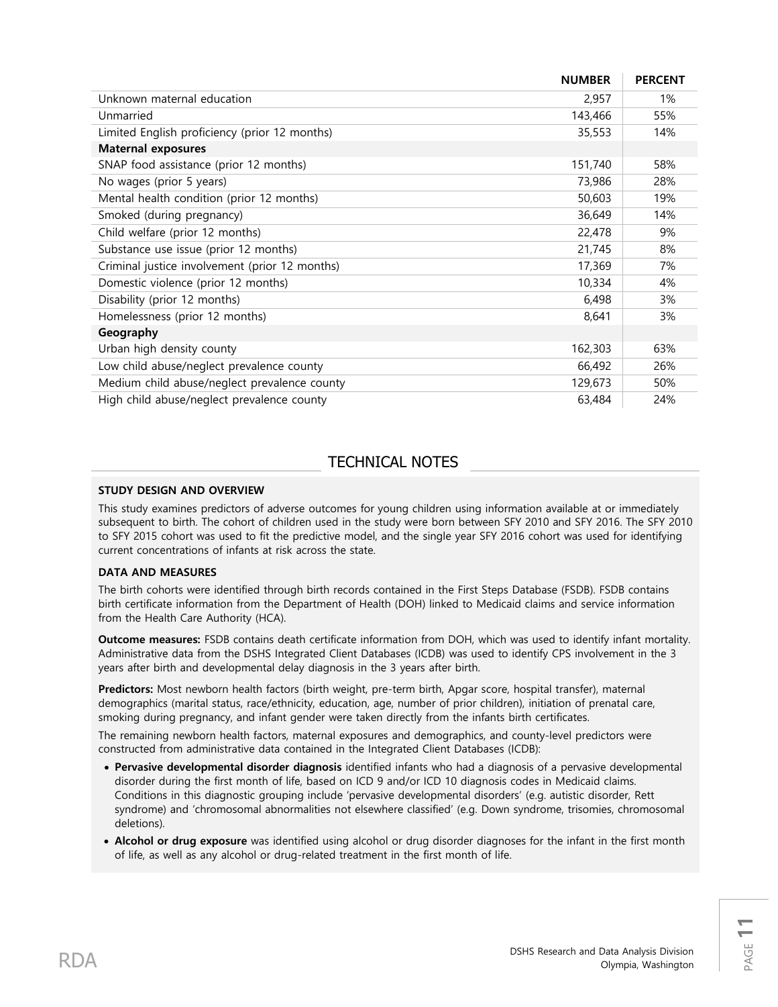|                                                | <b>NUMBER</b> | <b>PERCENT</b> |
|------------------------------------------------|---------------|----------------|
| Unknown maternal education                     | 2,957         | 1%             |
| Unmarried                                      | 143,466       | 55%            |
| Limited English proficiency (prior 12 months)  | 35,553        | 14%            |
| <b>Maternal exposures</b>                      |               |                |
| SNAP food assistance (prior 12 months)         | 151,740       | 58%            |
| No wages (prior 5 years)                       | 73,986        | 28%            |
| Mental health condition (prior 12 months)      | 50,603        | 19%            |
| Smoked (during pregnancy)                      | 36,649        | 14%            |
| Child welfare (prior 12 months)                | 22,478        | 9%             |
| Substance use issue (prior 12 months)          | 21,745        | 8%             |
| Criminal justice involvement (prior 12 months) | 17,369        | 7%             |
| Domestic violence (prior 12 months)            | 10,334        | 4%             |
| Disability (prior 12 months)                   | 6,498         | 3%             |
| Homelessness (prior 12 months)                 | 8,641         | 3%             |
| Geography                                      |               |                |
| Urban high density county                      | 162,303       | 63%            |
| Low child abuse/neglect prevalence county      | 66,492        | 26%            |
| Medium child abuse/neglect prevalence county   | 129,673       | 50%            |
| High child abuse/neglect prevalence county     | 63,484        | 24%            |

## TECHNICAL NOTES

#### **STUDY DESIGN AND OVERVIEW**

This study examines predictors of adverse outcomes for young children using information available at or immediately subsequent to birth. The cohort of children used in the study were born between SFY 2010 and SFY 2016. The SFY 2010 to SFY 2015 cohort was used to fit the predictive model, and the single year SFY 2016 cohort was used for identifying current concentrations of infants at risk across the state.

#### **DATA AND MEASURES**

The birth cohorts were identified through birth records contained in the First Steps Database (FSDB). FSDB contains birth certificate information from the Department of Health (DOH) linked to Medicaid claims and service information from the Health Care Authority (HCA).

**Outcome measures:** FSDB contains death certificate information from DOH, which was used to identify infant mortality. Administrative data from the DSHS Integrated Client Databases (ICDB) was used to identify CPS involvement in the 3 years after birth and developmental delay diagnosis in the 3 years after birth.

**Predictors:** Most newborn health factors (birth weight, pre-term birth, Apgar score, hospital transfer), maternal demographics (marital status, race/ethnicity, education, age, number of prior children), initiation of prenatal care, smoking during pregnancy, and infant gender were taken directly from the infants birth certificates.

The remaining newborn health factors, maternal exposures and demographics, and county-level predictors were constructed from administrative data contained in the Integrated Client Databases (ICDB):

- **Pervasive developmental disorder diagnosis** identified infants who had a diagnosis of a pervasive developmental disorder during the first month of life, based on ICD 9 and/or ICD 10 diagnosis codes in Medicaid claims. Conditions in this diagnostic grouping include 'pervasive developmental disorders' (e.g. autistic disorder, Rett syndrome) and 'chromosomal abnormalities not elsewhere classified' (e.g. Down syndrome, trisomies, chromosomal deletions).
- **Alcohol or drug exposure** was identified using alcohol or drug disorder diagnoses for the infant in the first month of life, as well as any alcohol or drug-related treatment in the first month of life.